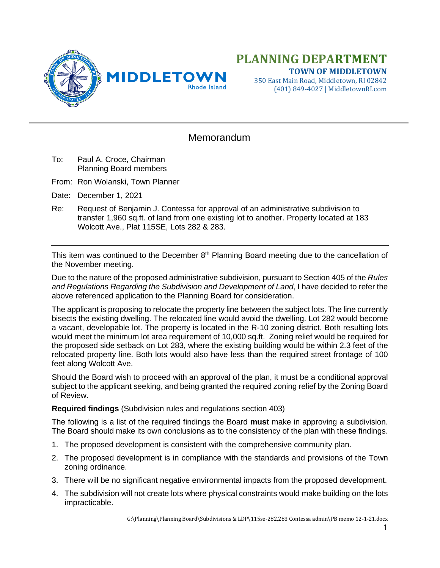

## **PLANNING DEPARTMENT TOWN OF MIDDLETOWN**

350 East Main Road, Middletown, RI 02842 (401) 849-4027 | MiddletownRI.com

## **Memorandum**

- To: Paul A. Croce, Chairman Planning Board members
- From: Ron Wolanski, Town Planner
- Date: December 1, 2021
- Re: Request of Benjamin J. Contessa for approval of an administrative subdivision to transfer 1,960 sq.ft. of land from one existing lot to another. Property located at 183 Wolcott Ave., Plat 115SE, Lots 282 & 283.

This item was continued to the December  $8<sup>th</sup>$  Planning Board meeting due to the cancellation of the November meeting.

Due to the nature of the proposed administrative subdivision, pursuant to Section 405 of the *Rules and Regulations Regarding the Subdivision and Development of Land*, I have decided to refer the above referenced application to the Planning Board for consideration.

The applicant is proposing to relocate the property line between the subject lots. The line currently bisects the existing dwelling. The relocated line would avoid the dwelling. Lot 282 would become a vacant, developable lot. The property is located in the R-10 zoning district. Both resulting lots would meet the minimum lot area requirement of 10,000 sq.ft. Zoning relief would be required for the proposed side setback on Lot 283, where the existing building would be within 2.3 feet of the relocated property line. Both lots would also have less than the required street frontage of 100 feet along Wolcott Ave.

Should the Board wish to proceed with an approval of the plan, it must be a conditional approval subject to the applicant seeking, and being granted the required zoning relief by the Zoning Board of Review.

**Required findings** (Subdivision rules and regulations section 403)

The following is a list of the required findings the Board **must** make in approving a subdivision. The Board should make its own conclusions as to the consistency of the plan with these findings.

- 1. The proposed development is consistent with the comprehensive community plan.
- 2. The proposed development is in compliance with the standards and provisions of the Town zoning ordinance.
- 3. There will be no significant negative environmental impacts from the proposed development.
- 4. The subdivision will not create lots where physical constraints would make building on the lots impracticable.